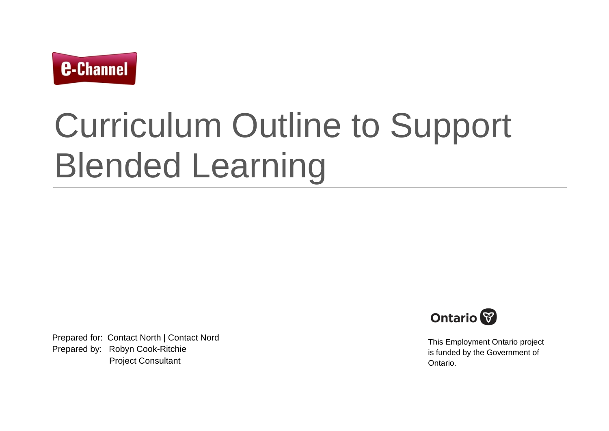

# Curriculum Outline to Support Blended Learning

Prepared for: Contact North | Contact Nord Prepared by: Robyn Cook-Ritchie Project Consultant



This Employment Ontario project is funded by the Government of Ontario.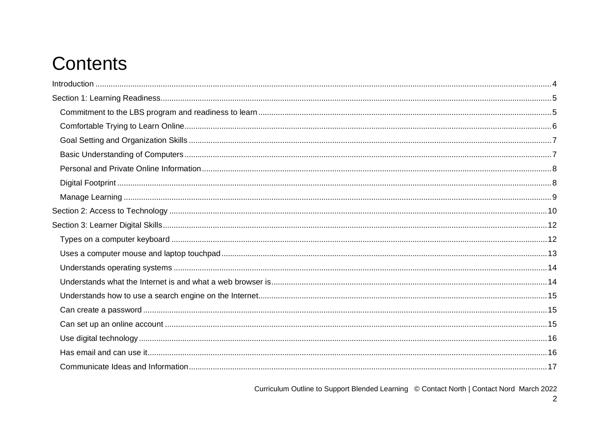## **Contents**

Curriculum Outline to Support Blended Learning © Contact North | Contact Nord March 2022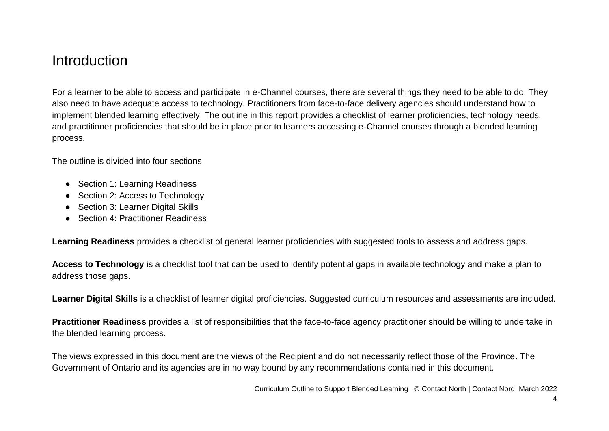#### <span id="page-3-0"></span>**Introduction**

For a learner to be able to access and participate in e-Channel courses, there are several things they need to be able to do. They also need to have adequate access to technology. Practitioners from face-to-face delivery agencies should understand how to implement blended learning effectively. The outline in this report provides a checklist of learner proficiencies, technology needs, and practitioner proficiencies that should be in place prior to learners accessing e-Channel courses through a blended learning process.

The outline is divided into four sections

- Section 1: Learning Readiness
- Section 2: Access to Technology
- Section 3: Learner Digital Skills
- Section 4: Practitioner Readiness

**Learning Readiness** provides a checklist of general learner proficiencies with suggested tools to assess and address gaps.

**Access to Technology** is a checklist tool that can be used to identify potential gaps in available technology and make a plan to address those gaps.

**Learner Digital Skills** is a checklist of learner digital proficiencies. Suggested curriculum resources and assessments are included.

**Practitioner Readiness** provides a list of responsibilities that the face-to-face agency practitioner should be willing to undertake in the blended learning process.

The views expressed in this document are the views of the Recipient and do not necessarily reflect those of the Province. The Government of Ontario and its agencies are in no way bound by any recommendations contained in this document.

Curriculum Outline to Support Blended Learning © Contact North | Contact Nord March 2022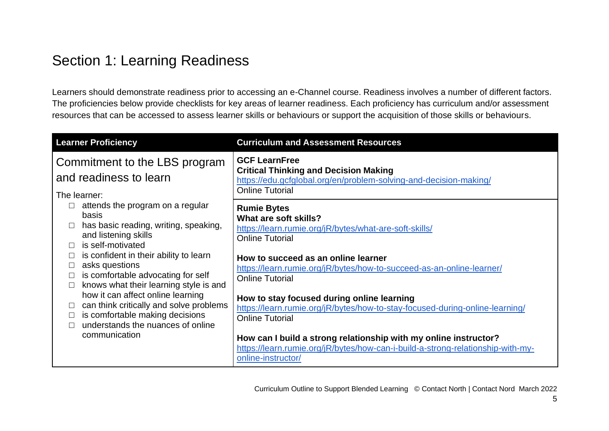### <span id="page-4-0"></span>Section 1: Learning Readiness

Learners should demonstrate readiness prior to accessing an e-Channel course. Readiness involves a number of different factors. The proficiencies below provide checklists for key areas of learner readiness. Each proficiency has curriculum and/or assessment resources that can be accessed to assess learner skills or behaviours or support the acquisition of those skills or behaviours.

<span id="page-4-1"></span>

| <b>Learner Proficiency</b>                                                                                                                                                                                                                                                                                                                                                                                                                                                         | <b>Curriculum and Assessment Resources</b>                                                                                                                                                                                                                                                                                                                                                                                                                                                                                                                                                                     |
|------------------------------------------------------------------------------------------------------------------------------------------------------------------------------------------------------------------------------------------------------------------------------------------------------------------------------------------------------------------------------------------------------------------------------------------------------------------------------------|----------------------------------------------------------------------------------------------------------------------------------------------------------------------------------------------------------------------------------------------------------------------------------------------------------------------------------------------------------------------------------------------------------------------------------------------------------------------------------------------------------------------------------------------------------------------------------------------------------------|
| Commitment to the LBS program<br>and readiness to learn<br>The learner:                                                                                                                                                                                                                                                                                                                                                                                                            | <b>GCF LearnFree</b><br><b>Critical Thinking and Decision Making</b><br>https://edu.gcfglobal.org/en/problem-solving-and-decision-making/<br><b>Online Tutorial</b>                                                                                                                                                                                                                                                                                                                                                                                                                                            |
| attends the program on a regular<br>basis<br>has basic reading, writing, speaking,<br>and listening skills<br>is self-motivated<br>is confident in their ability to learn<br>asks questions<br>is comfortable advocating for self<br>$\Box$<br>knows what their learning style is and<br>$\Box$<br>how it can affect online learning<br>can think critically and solve problems<br>$\Box$<br>is comfortable making decisions<br>understands the nuances of online<br>communication | <b>Rumie Bytes</b><br>What are soft skills?<br>https://learn.rumie.org/jR/bytes/what-are-soft-skills/<br><b>Online Tutorial</b><br>How to succeed as an online learner<br>https://learn.rumie.org/jR/bytes/how-to-succeed-as-an-online-learner/<br><b>Online Tutorial</b><br>How to stay focused during online learning<br>https://learn.rumie.org/jR/bytes/how-to-stay-focused-during-online-learning/<br><b>Online Tutorial</b><br>How can I build a strong relationship with my online instructor?<br>https://learn.rumie.org/jR/bytes/how-can-i-build-a-strong-relationship-with-my-<br>online-instructor/ |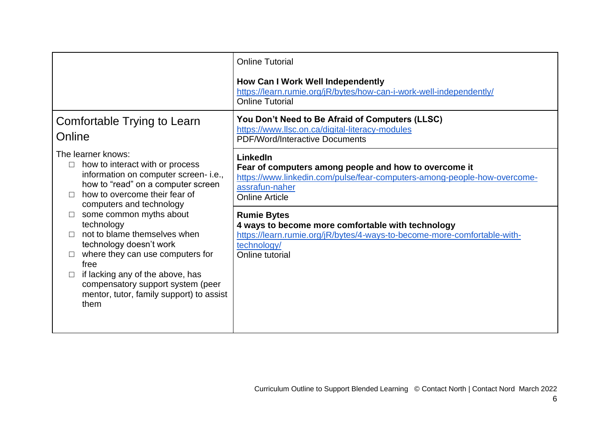<span id="page-5-0"></span>

|                                                                                                                                                                                                                                                                                     | <b>Online Tutorial</b><br>How Can I Work Well Independently<br>https://learn.rumie.org/jR/bytes/how-can-i-work-well-independently/<br><b>Online Tutorial</b>                             |
|-------------------------------------------------------------------------------------------------------------------------------------------------------------------------------------------------------------------------------------------------------------------------------------|------------------------------------------------------------------------------------------------------------------------------------------------------------------------------------------|
| Comfortable Trying to Learn<br>Online                                                                                                                                                                                                                                               | You Don't Need to Be Afraid of Computers (LLSC)<br>https://www.llsc.on.ca/digital-literacy-modules<br><b>PDF/Word/Interactive Documents</b>                                              |
| The learner knows:<br>how to interact with or process<br>$\Box$<br>information on computer screen-i.e.,<br>how to "read" on a computer screen<br>how to overcome their fear of<br>computers and technology                                                                          | LinkedIn<br>Fear of computers among people and how to overcome it<br>https://www.linkedin.com/pulse/fear-computers-among-people-how-overcome-<br>assrafun-naher<br><b>Online Article</b> |
| some common myths about<br>technology<br>not to blame themselves when<br>technology doesn't work<br>where they can use computers for<br>free<br>if lacking any of the above, has<br>$\Box$<br>compensatory support system (peer<br>mentor, tutor, family support) to assist<br>them | <b>Rumie Bytes</b><br>4 ways to become more comfortable with technology<br>https://learn.rumie.org/jR/bytes/4-ways-to-become-more-comfortable-with-<br>technology/<br>Online tutorial    |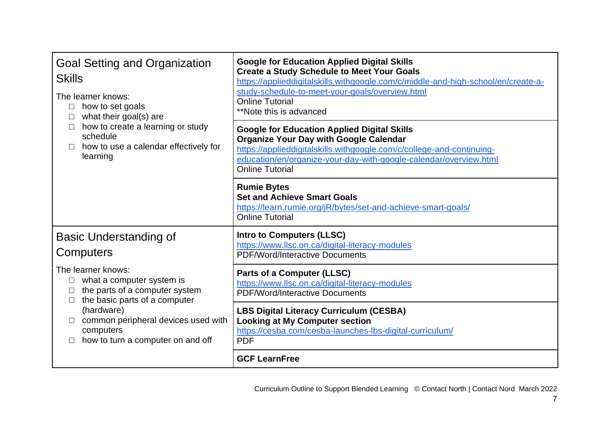<span id="page-6-1"></span><span id="page-6-0"></span>

| <b>Goal Setting and Organization</b><br><b>Skills</b><br>The learner knows:<br>how to set goals<br>$\Box$<br>what their goal(s) are<br>how to create a learning or study<br>schedule<br>how to use a calendar effectively for<br>learning | <b>Google for Education Applied Digital Skills</b><br><b>Create a Study Schedule to Meet Your Goals</b><br>https://applieddigitalskills.withgoogle.com/c/middle-and-high-school/en/create-a-<br>study-schedule-to-meet-your-goals/overview.html<br><b>Online Tutorial</b><br>**Note this is advanced |
|-------------------------------------------------------------------------------------------------------------------------------------------------------------------------------------------------------------------------------------------|------------------------------------------------------------------------------------------------------------------------------------------------------------------------------------------------------------------------------------------------------------------------------------------------------|
|                                                                                                                                                                                                                                           | <b>Google for Education Applied Digital Skills</b><br><b>Organize Your Day with Google Calendar</b><br>https://applieddigitalskills.withgoogle.com/c/college-and-continuing-<br>education/en/organize-your-day-with-google-calendar/overview.html<br><b>Online Tutorial</b>                          |
|                                                                                                                                                                                                                                           | <b>Rumie Bytes</b><br><b>Set and Achieve Smart Goals</b><br>https://learn.rumie.org/jR/bytes/set-and-achieve-smart-goals/<br><b>Online Tutorial</b>                                                                                                                                                  |
| Basic Understanding of<br>Computers                                                                                                                                                                                                       | <b>Intro to Computers (LLSC)</b><br>https://www.llsc.on.ca/digital-literacy-modules<br><b>PDF/Word/Interactive Documents</b>                                                                                                                                                                         |
| The learner knows:<br>what a computer system is<br>the parts of a computer system<br>the basic parts of a computer<br>(hardware)<br>common peripheral devices used with<br>computers<br>how to turn a computer on and off                 | <b>Parts of a Computer (LLSC)</b><br>https://www.llsc.on.ca/digital-literacy-modules<br><b>PDF/Word/Interactive Documents</b>                                                                                                                                                                        |
|                                                                                                                                                                                                                                           | <b>LBS Digital Literacy Curriculum (CESBA)</b><br><b>Looking at My Computer section</b><br>https://cesba.com/cesba-launches-lbs-digital-curriculum/<br><b>PDF</b>                                                                                                                                    |
|                                                                                                                                                                                                                                           | <b>GCF LearnFree</b>                                                                                                                                                                                                                                                                                 |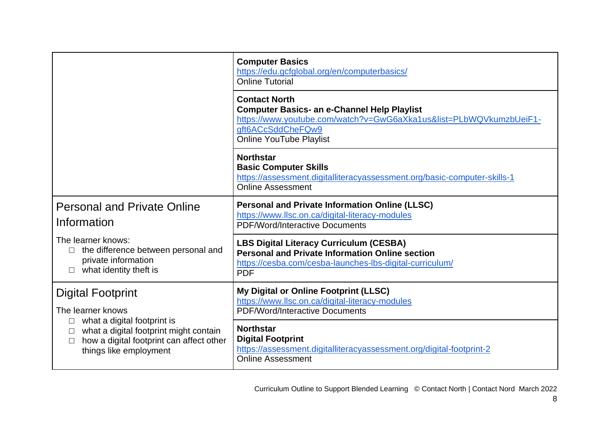<span id="page-7-1"></span><span id="page-7-0"></span>

|                                                                                                                                                                                              | <b>Computer Basics</b><br>https://edu.gcfglobal.org/en/computerbasics/<br><b>Online Tutorial</b>                                                                                                        |
|----------------------------------------------------------------------------------------------------------------------------------------------------------------------------------------------|---------------------------------------------------------------------------------------------------------------------------------------------------------------------------------------------------------|
|                                                                                                                                                                                              | <b>Contact North</b><br><b>Computer Basics- an e-Channel Help Playlist</b><br>https://www.youtube.com/watch?v=GwG6aXka1us&list=PLbWQVkumzbUeiF1-<br>qft6ACcSddCheFQw9<br><b>Online YouTube Playlist</b> |
|                                                                                                                                                                                              | <b>Northstar</b><br><b>Basic Computer Skills</b><br>https://assessment.digitalliteracyassessment.org/basic-computer-skills-1<br><b>Online Assessment</b>                                                |
| <b>Personal and Private Online</b><br>Information                                                                                                                                            | <b>Personal and Private Information Online (LLSC)</b><br>https://www.llsc.on.ca/digital-literacy-modules<br><b>PDF/Word/Interactive Documents</b>                                                       |
| The learner knows:<br>the difference between personal and<br>private information<br>what identity theft is                                                                                   | <b>LBS Digital Literacy Curriculum (CESBA)</b><br><b>Personal and Private Information Online section</b><br>https://cesba.com/cesba-launches-lbs-digital-curriculum/<br><b>PDF</b>                      |
| <b>Digital Footprint</b><br>The learner knows<br>what a digital footprint is<br>what a digital footprint might contain<br>how a digital footprint can affect other<br>things like employment | My Digital or Online Footprint (LLSC)<br>https://www.llsc.on.ca/digital-literacy-modules<br><b>PDF/Word/Interactive Documents</b>                                                                       |
|                                                                                                                                                                                              | <b>Northstar</b><br><b>Digital Footprint</b><br>https://assessment.digitalliteracyassessment.org/digital-footprint-2<br><b>Online Assessment</b>                                                        |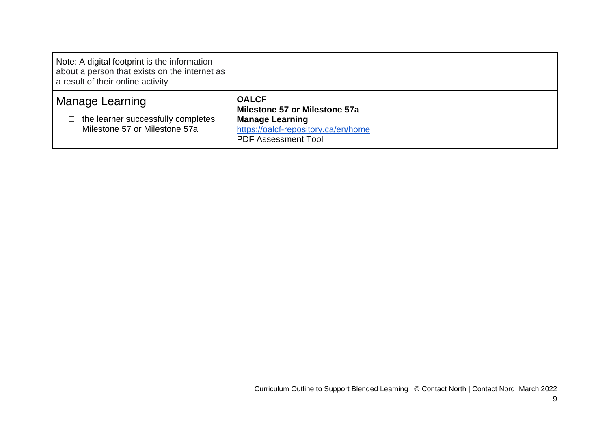<span id="page-8-0"></span>

| Note: A digital footprint is the information<br>about a person that exists on the internet as<br>a result of their online activity |                                                                                                                                              |
|------------------------------------------------------------------------------------------------------------------------------------|----------------------------------------------------------------------------------------------------------------------------------------------|
| Manage Learning<br>the learner successfully completes<br>Milestone 57 or Milestone 57a                                             | <b>OALCF</b><br>Milestone 57 or Milestone 57a<br><b>Manage Learning</b><br>https://oalcf-repository.ca/en/home<br><b>PDF Assessment Tool</b> |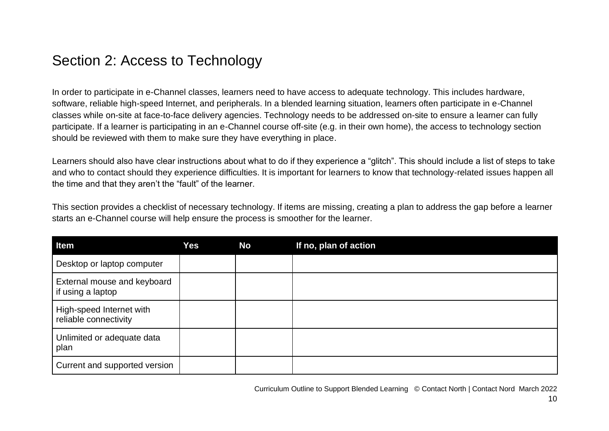#### <span id="page-9-0"></span>Section 2: Access to Technology

In order to participate in e-Channel classes, learners need to have access to adequate technology. This includes hardware, software, reliable high-speed Internet, and peripherals. In a blended learning situation, learners often participate in e-Channel classes while on-site at face-to-face delivery agencies. Technology needs to be addressed on-site to ensure a learner can fully participate. If a learner is participating in an e-Channel course off-site (e.g. in their own home), the access to technology section should be reviewed with them to make sure they have everything in place.

Learners should also have clear instructions about what to do if they experience a "glitch". This should include a list of steps to take and who to contact should they experience difficulties. It is important for learners to know that technology-related issues happen all the time and that they aren't the "fault" of the learner.

This section provides a checklist of necessary technology. If items are missing, creating a plan to address the gap before a learner starts an e-Channel course will help ensure the process is smoother for the learner.

| Item                                              | Yes | <b>No</b> | If no, plan of action |
|---------------------------------------------------|-----|-----------|-----------------------|
| Desktop or laptop computer                        |     |           |                       |
| External mouse and keyboard<br>if using a laptop  |     |           |                       |
| High-speed Internet with<br>reliable connectivity |     |           |                       |
| Unlimited or adequate data<br>plan                |     |           |                       |
| Current and supported version                     |     |           |                       |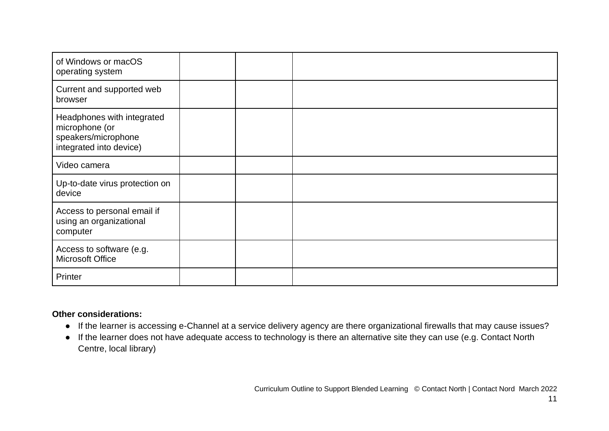| of Windows or macOS<br>operating system                                                        |  |  |
|------------------------------------------------------------------------------------------------|--|--|
| Current and supported web<br>browser                                                           |  |  |
| Headphones with integrated<br>microphone (or<br>speakers/microphone<br>integrated into device) |  |  |
| Video camera                                                                                   |  |  |
| Up-to-date virus protection on<br>device                                                       |  |  |
| Access to personal email if<br>using an organizational<br>computer                             |  |  |
| Access to software (e.g.<br>Microsoft Office                                                   |  |  |
| Printer                                                                                        |  |  |

#### **Other considerations:**

- If the learner is accessing e-Channel at a service delivery agency are there organizational firewalls that may cause issues?
- If the learner does not have adequate access to technology is there an alternative site they can use (e.g. Contact North Centre, local library)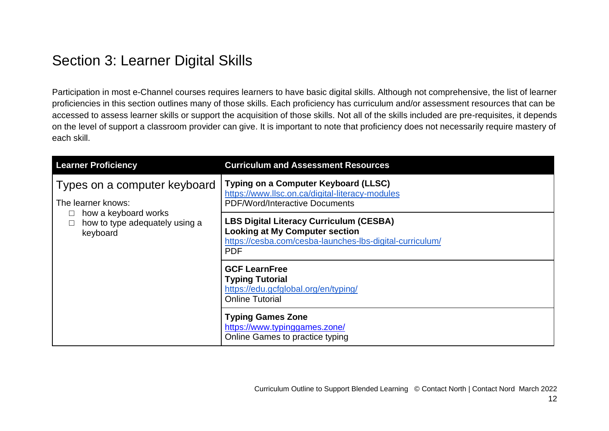### <span id="page-11-0"></span>Section 3: Learner Digital Skills

Participation in most e-Channel courses requires learners to have basic digital skills. Although not comprehensive, the list of learner proficiencies in this section outlines many of those skills. Each proficiency has curriculum and/or assessment resources that can be accessed to assess learner skills or support the acquisition of those skills. Not all of the skills included are pre-requisites, it depends on the level of support a classroom provider can give. It is important to note that proficiency does not necessarily require mastery of each skill.

<span id="page-11-1"></span>

| <b>Learner Proficiency</b>                                                                                               | <b>Curriculum and Assessment Resources</b>                                                                                                                        |
|--------------------------------------------------------------------------------------------------------------------------|-------------------------------------------------------------------------------------------------------------------------------------------------------------------|
| Types on a computer keyboard<br>The learner knows:<br>how a keyboard works<br>how to type adequately using a<br>keyboard | Typing on a Computer Keyboard (LLSC)<br>https://www.llsc.on.ca/digital-literacy-modules<br><b>PDF/Word/Interactive Documents</b>                                  |
|                                                                                                                          | <b>LBS Digital Literacy Curriculum (CESBA)</b><br><b>Looking at My Computer section</b><br>https://cesba.com/cesba-launches-lbs-digital-curriculum/<br><b>PDF</b> |
|                                                                                                                          | <b>GCF LearnFree</b><br><b>Typing Tutorial</b><br>https://edu.gcfglobal.org/en/typing/<br><b>Online Tutorial</b>                                                  |
|                                                                                                                          | <b>Typing Games Zone</b><br>https://www.typinggames.zone/<br>Online Games to practice typing                                                                      |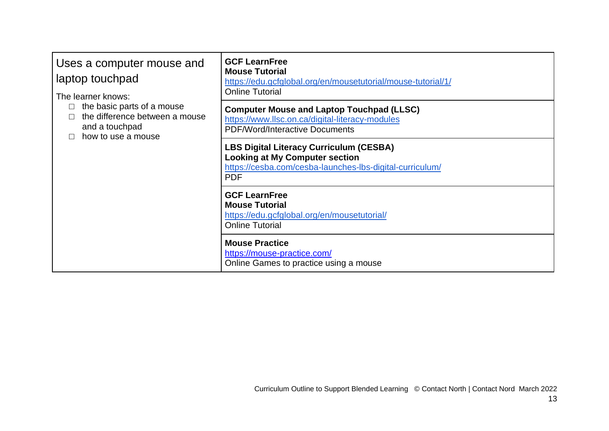<span id="page-12-0"></span>

| Uses a computer mouse and<br>laptop touchpad<br>The learner knows:<br>the basic parts of a mouse<br>the difference between a mouse<br>and a touchpad<br>how to use a mouse | <b>GCF LearnFree</b><br><b>Mouse Tutorial</b><br>https://edu.gcfglobal.org/en/mousetutorial/mouse-tutorial/1/<br><b>Online Tutorial</b>                           |
|----------------------------------------------------------------------------------------------------------------------------------------------------------------------------|-------------------------------------------------------------------------------------------------------------------------------------------------------------------|
|                                                                                                                                                                            | <b>Computer Mouse and Laptop Touchpad (LLSC)</b><br>https://www.llsc.on.ca/digital-literacy-modules<br><b>PDF/Word/Interactive Documents</b>                      |
|                                                                                                                                                                            | <b>LBS Digital Literacy Curriculum (CESBA)</b><br><b>Looking at My Computer section</b><br>https://cesba.com/cesba-launches-lbs-digital-curriculum/<br><b>PDF</b> |
|                                                                                                                                                                            | <b>GCF LearnFree</b><br><b>Mouse Tutorial</b><br>https://edu.gcfglobal.org/en/mousetutorial/<br><b>Online Tutorial</b>                                            |
|                                                                                                                                                                            | <b>Mouse Practice</b><br>https://mouse-practice.com/<br>Online Games to practice using a mouse                                                                    |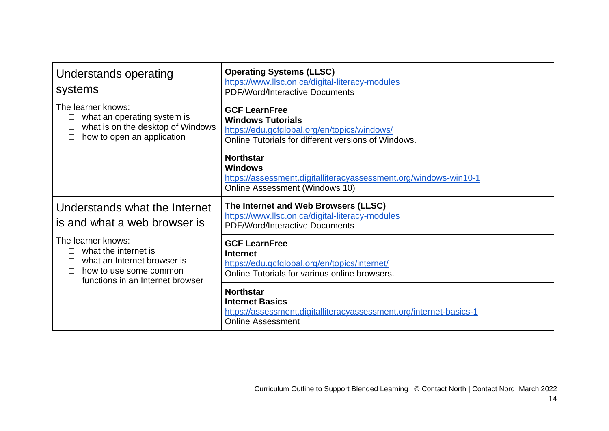<span id="page-13-1"></span><span id="page-13-0"></span>

| Understands operating<br>systems                                                                                                        | <b>Operating Systems (LLSC)</b><br>https://www.llsc.on.ca/digital-literacy-modules<br><b>PDF/Word/Interactive Documents</b>                             |
|-----------------------------------------------------------------------------------------------------------------------------------------|---------------------------------------------------------------------------------------------------------------------------------------------------------|
| The learner knows:<br>what an operating system is<br>what is on the desktop of Windows<br>how to open an application                    | <b>GCF LearnFree</b><br><b>Windows Tutorials</b><br>https://edu.gcfglobal.org/en/topics/windows/<br>Online Tutorials for different versions of Windows. |
|                                                                                                                                         | <b>Northstar</b><br><b>Windows</b><br>https://assessment.digitalliteracyassessment.org/windows-win10-1<br>Online Assessment (Windows 10)                |
| Understands what the Internet<br>is and what a web browser is                                                                           | The Internet and Web Browsers (LLSC)<br>https://www.llsc.on.ca/digital-literacy-modules<br><b>PDF/Word/Interactive Documents</b>                        |
| The learner knows:<br>what the internet is<br>what an Internet browser is<br>how to use some common<br>functions in an Internet browser | <b>GCF LearnFree</b><br><b>Internet</b><br>https://edu.gcfglobal.org/en/topics/internet/<br>Online Tutorials for various online browsers.               |
|                                                                                                                                         | <b>Northstar</b><br><b>Internet Basics</b><br>https://assessment.digitalliteracyassessment.org/internet-basics-1<br><b>Online Assessment</b>            |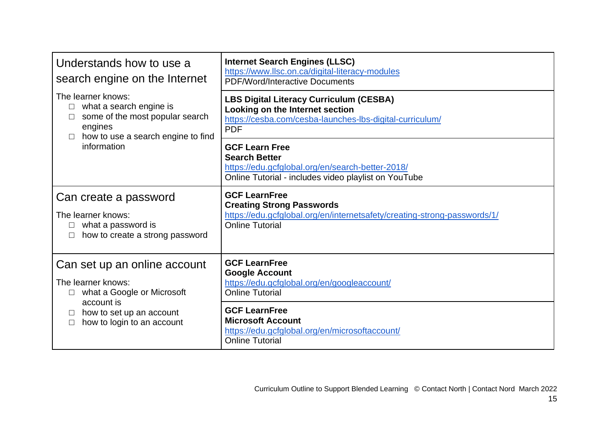<span id="page-14-2"></span><span id="page-14-1"></span><span id="page-14-0"></span>

| Understands how to use a<br>search engine on the Internet                                                                                                                            | <b>Internet Search Engines (LLSC)</b><br>https://www.llsc.on.ca/digital-literacy-modules<br><b>PDF/Word/Interactive Documents</b>                              |
|--------------------------------------------------------------------------------------------------------------------------------------------------------------------------------------|----------------------------------------------------------------------------------------------------------------------------------------------------------------|
| The learner knows:<br>what a search engine is<br>$\Box$<br>some of the most popular search<br>engines<br>how to use a search engine to find<br>information                           | <b>LBS Digital Literacy Curriculum (CESBA)</b><br>Looking on the Internet section<br>https://cesba.com/cesba-launches-lbs-digital-curriculum/<br><b>PDF</b>    |
|                                                                                                                                                                                      | <b>GCF Learn Free</b><br><b>Search Better</b><br>https://edu.gcfglobal.org/en/search-better-2018/<br>Online Tutorial - includes video playlist on YouTube      |
| Can create a password<br>The learner knows:<br>what a password is<br>how to create a strong password                                                                                 | <b>GCF LearnFree</b><br><b>Creating Strong Passwords</b><br>https://edu.gcfglobal.org/en/internetsafety/creating-strong-passwords/1/<br><b>Online Tutorial</b> |
| Can set up an online account<br>The learner knows:<br>what a Google or Microsoft<br>$\Box$<br>account is<br>how to set up an account<br>$\mathbb{R}^n$<br>how to login to an account | <b>GCF LearnFree</b><br><b>Google Account</b><br>https://edu.gcfglobal.org/en/googleaccount/<br><b>Online Tutorial</b>                                         |
|                                                                                                                                                                                      | <b>GCF LearnFree</b><br><b>Microsoft Account</b><br>https://edu.gcfglobal.org/en/microsoftaccount/<br><b>Online Tutorial</b>                                   |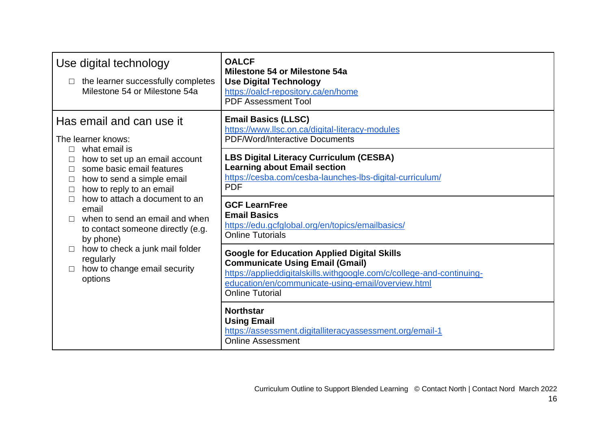<span id="page-15-1"></span><span id="page-15-0"></span>

| Use digital technology<br>the learner successfully completes<br>Milestone 54 or Milestone 54a                                                                                                                                                                                                                                                                                                                                                                        | <b>OALCF</b><br>Milestone 54 or Milestone 54a<br><b>Use Digital Technology</b><br>https://oalcf-repository.ca/en/home<br><b>PDF Assessment Tool</b>                                                                                                                                       |
|----------------------------------------------------------------------------------------------------------------------------------------------------------------------------------------------------------------------------------------------------------------------------------------------------------------------------------------------------------------------------------------------------------------------------------------------------------------------|-------------------------------------------------------------------------------------------------------------------------------------------------------------------------------------------------------------------------------------------------------------------------------------------|
| Has email and can use it<br>The learner knows:<br>what email is<br>how to set up an email account<br>some basic email features<br>how to send a simple email<br>how to reply to an email<br>$\Box$<br>how to attach a document to an<br>$\Box$<br>email<br>when to send an email and when<br>$\Box$<br>to contact someone directly (e.g.<br>by phone)<br>how to check a junk mail folder<br>$\Box$<br>regularly<br>how to change email security<br>$\Box$<br>options | <b>Email Basics (LLSC)</b><br>https://www.llsc.on.ca/digital-literacy-modules<br><b>PDF/Word/Interactive Documents</b><br><b>LBS Digital Literacy Curriculum (CESBA)</b><br><b>Learning about Email section</b><br>https://cesba.com/cesba-launches-lbs-digital-curriculum/<br><b>PDF</b> |
|                                                                                                                                                                                                                                                                                                                                                                                                                                                                      | <b>GCF LearnFree</b><br><b>Email Basics</b><br>https://edu.gcfglobal.org/en/topics/emailbasics/<br><b>Online Tutorials</b>                                                                                                                                                                |
|                                                                                                                                                                                                                                                                                                                                                                                                                                                                      | <b>Google for Education Applied Digital Skills</b><br><b>Communicate Using Email (Gmail)</b><br>https://applieddigitalskills.withgoogle.com/c/college-and-continuing-<br>education/en/communicate-using-email/overview.html<br><b>Online Tutorial</b>                                     |
|                                                                                                                                                                                                                                                                                                                                                                                                                                                                      | <b>Northstar</b><br><b>Using Email</b><br>https://assessment.digitalliteracyassessment.org/email-1<br><b>Online Assessment</b>                                                                                                                                                            |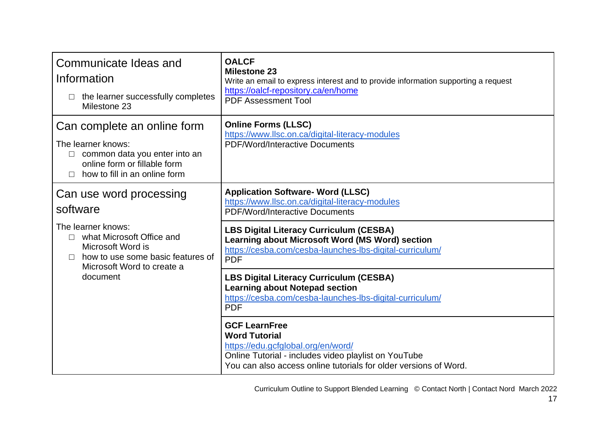<span id="page-16-2"></span><span id="page-16-1"></span><span id="page-16-0"></span>

| Communicate Ideas and<br>Information<br>the learner successfully completes<br>Milestone 23                                                                           | <b>OALCF</b><br><b>Milestone 23</b><br>Write an email to express interest and to provide information supporting a request<br>https://oalcf-repository.ca/en/home<br><b>PDF Assessment Tool</b>                 |
|----------------------------------------------------------------------------------------------------------------------------------------------------------------------|----------------------------------------------------------------------------------------------------------------------------------------------------------------------------------------------------------------|
| Can complete an online form<br>The learner knows:<br>$\Box$ common data you enter into an<br>online form or fillable form<br>how to fill in an online form<br>$\Box$ | <b>Online Forms (LLSC)</b><br>https://www.llsc.on.ca/digital-literacy-modules<br><b>PDF/Word/Interactive Documents</b>                                                                                         |
| Can use word processing<br>software                                                                                                                                  | <b>Application Software- Word (LLSC)</b><br>https://www.llsc.on.ca/digital-literacy-modules<br><b>PDF/Word/Interactive Documents</b>                                                                           |
| The learner knows:<br>$\Box$ what Microsoft Office and<br>Microsoft Word is<br>how to use some basic features of<br>$\Box$<br>Microsoft Word to create a<br>document | <b>LBS Digital Literacy Curriculum (CESBA)</b><br>Learning about Microsoft Word (MS Word) section<br>https://cesba.com/cesba-launches-lbs-digital-curriculum/<br><b>PDF</b>                                    |
|                                                                                                                                                                      | <b>LBS Digital Literacy Curriculum (CESBA)</b><br><b>Learning about Notepad section</b><br>https://cesba.com/cesba-launches-lbs-digital-curriculum/<br><b>PDF</b>                                              |
|                                                                                                                                                                      | <b>GCF LearnFree</b><br><b>Word Tutorial</b><br>https://edu.gcfglobal.org/en/word/<br>Online Tutorial - includes video playlist on YouTube<br>You can also access online tutorials for older versions of Word. |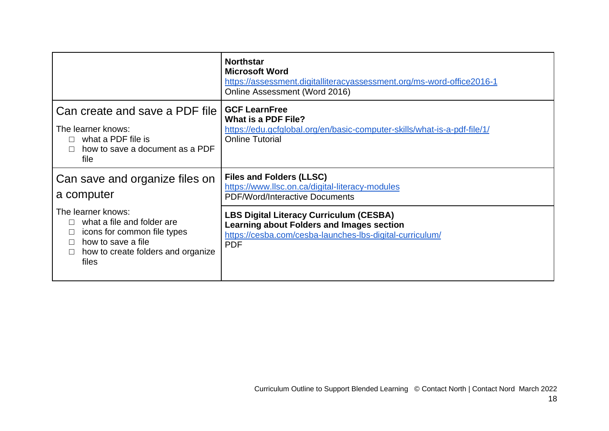<span id="page-17-1"></span><span id="page-17-0"></span>

|                                                                                                                                                      | <b>Northstar</b><br><b>Microsoft Word</b><br>https://assessment.digitalliteracyassessment.org/ms-word-office2016-1<br>Online Assessment (Word 2016)                   |
|------------------------------------------------------------------------------------------------------------------------------------------------------|-----------------------------------------------------------------------------------------------------------------------------------------------------------------------|
| Can create and save a PDF file<br>The learner knows:<br>what a PDF file is<br>how to save a document as a PDF<br>file                                | <b>GCF LearnFree</b><br>What is a PDF File?<br>https://edu.gcfglobal.org/en/basic-computer-skills/what-is-a-pdf-file/1/<br><b>Online Tutorial</b>                     |
| Can save and organize files on<br>a computer                                                                                                         | <b>Files and Folders (LLSC)</b><br>https://www.llsc.on.ca/digital-literacy-modules<br><b>PDF/Word/Interactive Documents</b>                                           |
| The learner knows:<br>what a file and folder are<br>icons for common file types<br>how to save a file<br>how to create folders and organize<br>files | <b>LBS Digital Literacy Curriculum (CESBA)</b><br>Learning about Folders and Images section<br>https://cesba.com/cesba-launches-lbs-digital-curriculum/<br><b>PDF</b> |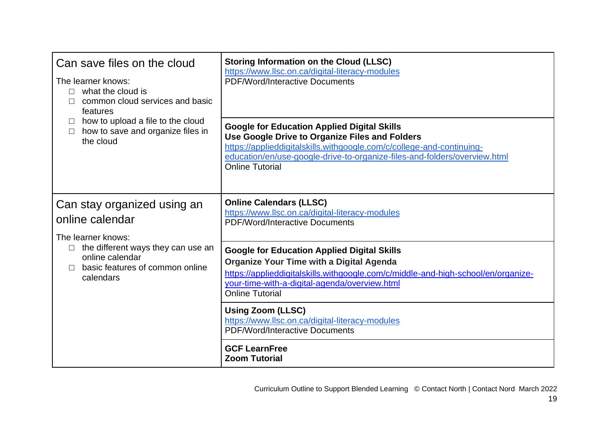<span id="page-18-1"></span><span id="page-18-0"></span>

| Can save files on the cloud<br>The learner knows:<br>what the cloud is<br>$\Box$<br>common cloud services and basic<br>features<br>how to upload a file to the cloud<br>$\Box$<br>how to save and organize files in<br>$\Box$<br>the cloud | <b>Storing Information on the Cloud (LLSC)</b><br>https://www.llsc.on.ca/digital-literacy-modules<br><b>PDF/Word/Interactive Documents</b><br><b>Google for Education Applied Digital Skills</b><br>Use Google Drive to Organize Files and Folders<br>https://applieddigitalskills.withgoogle.com/c/college-and-continuing-<br>education/en/use-google-drive-to-organize-files-and-folders/overview.html<br><b>Online Tutorial</b> |
|--------------------------------------------------------------------------------------------------------------------------------------------------------------------------------------------------------------------------------------------|------------------------------------------------------------------------------------------------------------------------------------------------------------------------------------------------------------------------------------------------------------------------------------------------------------------------------------------------------------------------------------------------------------------------------------|
| Can stay organized using an<br>online calendar<br>The learner knows:                                                                                                                                                                       | <b>Online Calendars (LLSC)</b><br>https://www.llsc.on.ca/digital-literacy-modules<br><b>PDF/Word/Interactive Documents</b>                                                                                                                                                                                                                                                                                                         |
| the different ways they can use an<br>$\Box$<br>online calendar<br>basic features of common online<br>П<br>calendars                                                                                                                       | <b>Google for Education Applied Digital Skills</b><br><b>Organize Your Time with a Digital Agenda</b><br>https://applieddigitalskills.withgoogle.com/c/middle-and-high-school/en/organize-<br>your-time-with-a-digital-agenda/overview.html<br><b>Online Tutorial</b>                                                                                                                                                              |
|                                                                                                                                                                                                                                            | <b>Using Zoom (LLSC)</b><br>https://www.llsc.on.ca/digital-literacy-modules<br><b>PDF/Word/Interactive Documents</b>                                                                                                                                                                                                                                                                                                               |
|                                                                                                                                                                                                                                            | <b>GCF LearnFree</b><br><b>Zoom Tutorial</b>                                                                                                                                                                                                                                                                                                                                                                                       |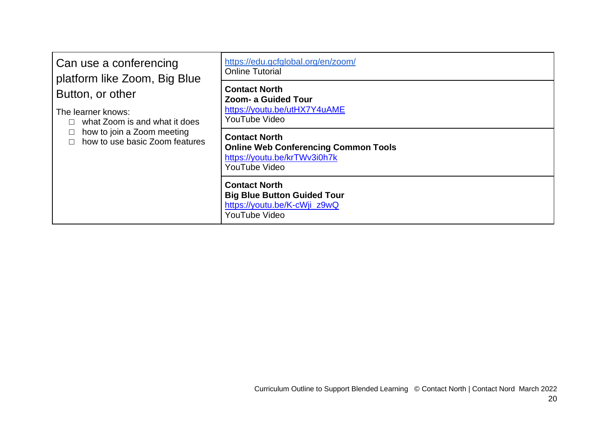<span id="page-19-0"></span>

| Can use a conferencing<br>platform like Zoom, Big Blue<br>Button, or other<br>The learner knows:<br>what Zoom is and what it does<br>how to join a Zoom meeting<br>how to use basic Zoom features | https://edu.gcfglobal.org/en/zoom/<br><b>Online Tutorial</b>                                                         |
|---------------------------------------------------------------------------------------------------------------------------------------------------------------------------------------------------|----------------------------------------------------------------------------------------------------------------------|
|                                                                                                                                                                                                   | <b>Contact North</b><br><b>Zoom- a Guided Tour</b><br>https://youtu.be/utHX7Y4uAME<br>YouTube Video                  |
|                                                                                                                                                                                                   | <b>Contact North</b><br><b>Online Web Conferencing Common Tools</b><br>https://youtu.be/krTWv3i0h7k<br>YouTube Video |
|                                                                                                                                                                                                   | <b>Contact North</b><br><b>Big Blue Button Guided Tour</b><br>https://youtu.be/K-cWji_z9wQ<br>YouTube Video          |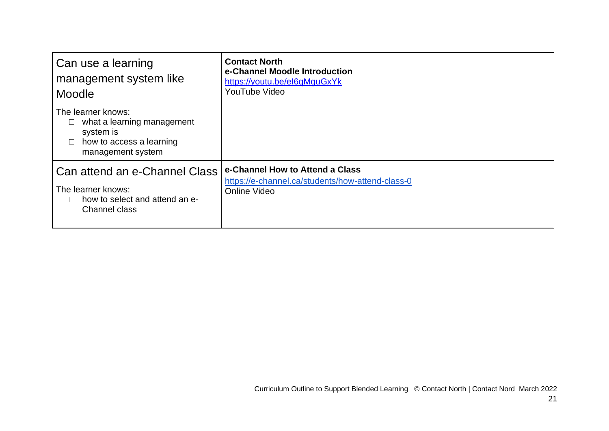<span id="page-20-1"></span><span id="page-20-0"></span>

| Can use a learning<br>management system like<br>Moodle                                                         | <b>Contact North</b><br>e-Channel Moodle Introduction<br>https://youtu.be/el6qMguGxYk<br>YouTube Video |
|----------------------------------------------------------------------------------------------------------------|--------------------------------------------------------------------------------------------------------|
| The learner knows:<br>what a learning management<br>system is<br>how to access a learning<br>management system |                                                                                                        |
| Can attend an e-Channel Class<br>The learner knows:<br>how to select and attend an e-<br><b>Channel class</b>  | e-Channel How to Attend a Class<br>https://e-channel.ca/students/how-attend-class-0<br>Online Video    |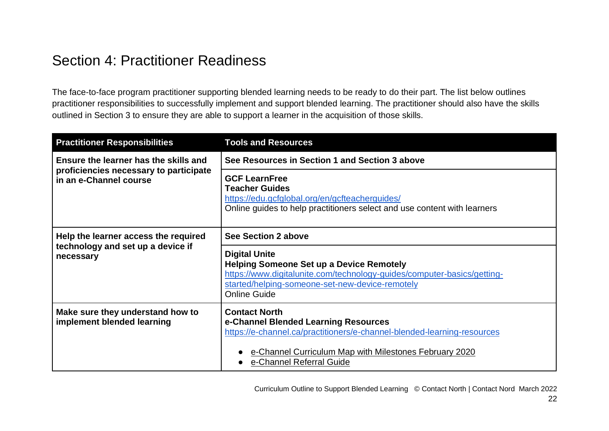#### <span id="page-21-0"></span>Section 4: Practitioner Readiness

The face-to-face program practitioner supporting blended learning needs to be ready to do their part. The list below outlines practitioner responsibilities to successfully implement and support blended learning. The practitioner should also have the skills outlined in Section 3 to ensure they are able to support a learner in the acquisition of those skills.

| <b>Practitioner Responsibilities</b>                                                                      | <b>Tools and Resources</b>                                                                                                                                                                                                    |
|-----------------------------------------------------------------------------------------------------------|-------------------------------------------------------------------------------------------------------------------------------------------------------------------------------------------------------------------------------|
| Ensure the learner has the skills and<br>proficiencies necessary to participate<br>in an e-Channel course | See Resources in Section 1 and Section 3 above                                                                                                                                                                                |
|                                                                                                           | <b>GCF LearnFree</b><br><b>Teacher Guides</b><br>https://edu.gcfglobal.org/en/gcfteacherguides/<br>Online guides to help practitioners select and use content with learners                                                   |
| Help the learner access the required<br>technology and set up a device if<br>necessary                    | See Section 2 above                                                                                                                                                                                                           |
|                                                                                                           | <b>Digital Unite</b><br><b>Helping Someone Set up a Device Remotely</b><br>https://www.digitalunite.com/technology-guides/computer-basics/getting-<br>started/helping-someone-set-new-device-remotely<br><b>Online Guide</b>  |
| Make sure they understand how to<br>implement blended learning                                            | <b>Contact North</b><br>e-Channel Blended Learning Resources<br>https://e-channel.ca/practitioners/e-channel-blended-learning-resources<br>e-Channel Curriculum Map with Milestones February 2020<br>e-Channel Referral Guide |